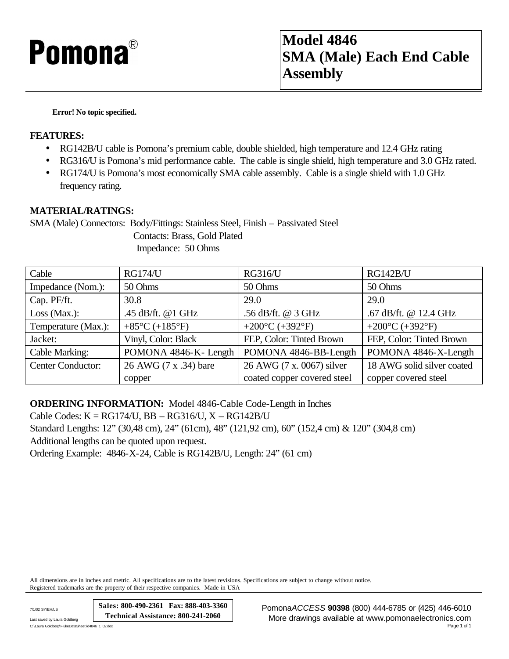## **Pomona**®

**Error! No topic specified.**

## **FEATURES:**

- RG142B/U cable is Pomona's premium cable, double shielded, high temperature and 12.4 GHz rating
- RG316/U is Pomona's mid performance cable. The cable is single shield, high temperature and 3.0 GHz rated.
- RG174/U is Pomona's most economically SMA cable assembly. Cable is a single shield with 1.0 GHz frequency rating.

## **MATERIAL/RATINGS:**

SMA (Male) Connectors: Body/Fittings: Stainless Steel, Finish – Passivated Steel

 Contacts: Brass, Gold Plated Impedance: 50 Ohms

| Cable                    | <b>RG174/U</b>                       | <b>RG316/U</b>                        | <b>RG142B/U</b>                       |
|--------------------------|--------------------------------------|---------------------------------------|---------------------------------------|
| Impedance (Nom.):        | 50 Ohms                              | 50 Ohms                               | 50 Ohms                               |
| Cap. PF/ft.              | 30.8                                 | 29.0                                  | 29.0                                  |
| Loss (Max.):             | .45 dB/ft. @1 GHz                    | .56 dB/ft. @ 3 GHz                    | .67 dB/ft. @ 12.4 GHz                 |
| Temperature (Max.):      | +85 $^{\circ}$ C (+185 $^{\circ}$ F) | +200 $^{\circ}$ C (+392 $^{\circ}$ F) | +200 $^{\circ}$ C (+392 $^{\circ}$ F) |
| Jacket:                  | Vinyl, Color: Black                  | FEP, Color: Tinted Brown              | FEP, Color: Tinted Brown              |
| Cable Marking:           | POMONA 4846-K-Length                 | POMONA 4846-BB-Length                 | POMONA 4846-X-Length                  |
| <b>Center Conductor:</b> | 26 AWG (7 x .34) bare                | 26 AWG (7 x, 0067) silver             | 18 AWG solid silver coated            |
|                          | copper                               | coated copper covered steel           | copper covered steel                  |

**ORDERING INFORMATION:** Model 4846-Cable Code-Length in Inches

Cable Codes: K = RG174/U, BB – RG316/U, X – RG142B/U Standard Lengths: 12" (30,48 cm), 24" (61cm), 48" (121,92 cm), 60" (152,4 cm) & 120" (304,8 cm) Additional lengths can be quoted upon request. Ordering Example: 4846-X-24, Cable is RG142B/U, Length: 24" (61 cm)

All dimensions are in inches and metric. All specifications are to the latest revisions. Specifications are subject to change without notice. Registered trademarks are the property of their respective companies. Made in USA

**Sales: 800-490-2361 Fax: 888-403-3360 Technical Assistance: 800-241-2060**

C:\Laura Goldberg\FlukeDataSheet\d4846\_1\_02.doc

7/1/02 SY/EH/LS Pomona*ACCESS* **90398** (800) 444-6785 or (425) 446-6010 Last saved by Laura Goldberg **Law Goldberg (2000)**<br>C:\Laura Goldberg\FlukeDataSheet\d4846\_1\_02*d*oc<br>Page 1 of 1